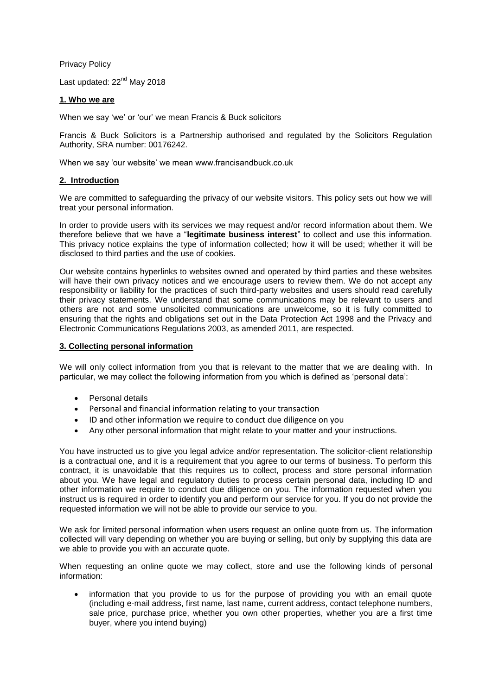Privacy Policy

Last updated: 22<sup>nd</sup> May 2018

# **1. Who we are**

When we say 'we' or 'our' we mean Francis & Buck solicitors

Francis & Buck Solicitors is a Partnership authorised and regulated by the Solicitors Regulation Authority, SRA number: 00176242.

When we say 'our website' we mean www.francisandbuck.co.uk

## **2. Introduction**

We are committed to safeguarding the privacy of our website visitors. This policy sets out how we will treat your personal information.

In order to provide users with its services we may request and/or record information about them. We therefore believe that we have a "**legitimate business interest**" to collect and use this information. This privacy notice explains the type of information collected; how it will be used; whether it will be disclosed to third parties and the use of cookies.

Our website contains hyperlinks to websites owned and operated by third parties and these websites will have their own privacy notices and we encourage users to review them. We do not accept any responsibility or liability for the practices of such third-party websites and users should read carefully their privacy statements. We understand that some communications may be relevant to users and others are not and some unsolicited communications are unwelcome, so it is fully committed to ensuring that the rights and obligations set out in the Data Protection Act 1998 and the Privacy and Electronic Communications Regulations 2003, as amended 2011, are respected.

# **3. Collecting personal information**

We will only collect information from you that is relevant to the matter that we are dealing with. In particular, we may collect the following information from you which is defined as 'personal data':

- Personal details
- Personal and financial information relating to your transaction
- ID and other information we require to conduct due diligence on you
- Any other personal information that might relate to your matter and your instructions.

You have instructed us to give you legal advice and/or representation. The solicitor-client relationship is a contractual one, and it is a requirement that you agree to our terms of business. To perform this contract, it is unavoidable that this requires us to collect, process and store personal information about you. We have legal and regulatory duties to process certain personal data, including ID and other information we require to conduct due diligence on you. The information requested when you instruct us is required in order to identify you and perform our service for you. If you do not provide the requested information we will not be able to provide our service to you.

We ask for limited personal information when users request an online quote from us. The information collected will vary depending on whether you are buying or selling, but only by supplying this data are we able to provide you with an accurate quote.

When requesting an online quote we may collect, store and use the following kinds of personal information:

 information that you provide to us for the purpose of providing you with an email quote (including e-mail address, first name, last name, current address, contact telephone numbers, sale price, purchase price, whether you own other properties, whether you are a first time buyer, where you intend buying)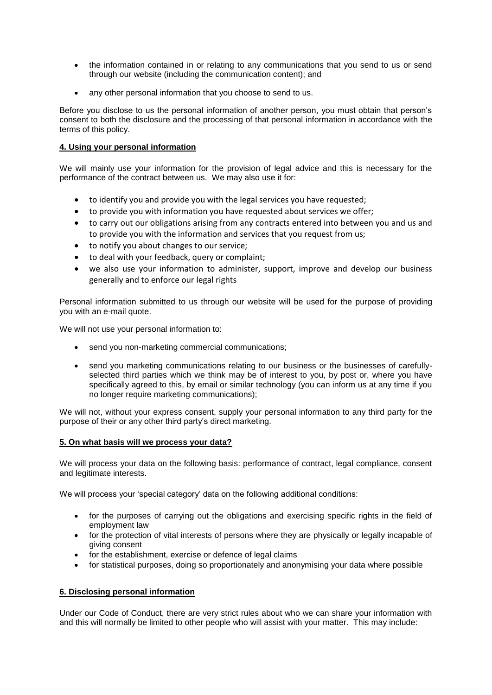- the information contained in or relating to any communications that you send to us or send through our website (including the communication content); and
- any other personal information that you choose to send to us.

Before you disclose to us the personal information of another person, you must obtain that person's consent to both the disclosure and the processing of that personal information in accordance with the terms of this policy.

# **4. Using your personal information**

We will mainly use your information for the provision of legal advice and this is necessary for the performance of the contract between us. We may also use it for:

- to identify you and provide you with the legal services you have requested;
- to provide you with information you have requested about services we offer;
- to carry out our obligations arising from any contracts entered into between you and us and to provide you with the information and services that you request from us;
- to notify you about changes to our service;
- to deal with your feedback, query or complaint;
- we also use your information to administer, support, improve and develop our business generally and to enforce our legal rights

Personal information submitted to us through our website will be used for the purpose of providing you with an e-mail quote.

We will not use your personal information to:

- send you non-marketing commercial communications;
- send you marketing communications relating to our business or the businesses of carefullyselected third parties which we think may be of interest to you, by post or, where you have specifically agreed to this, by email or similar technology (you can inform us at any time if you no longer require marketing communications);

We will not, without your express consent, supply your personal information to any third party for the purpose of their or any other third party's direct marketing.

## **5. On what basis will we process your data?**

We will process your data on the following basis: performance of contract, legal compliance, consent and legitimate interests.

We will process your 'special category' data on the following additional conditions:

- for the purposes of carrying out the obligations and exercising specific rights in the field of employment law
- for the protection of vital interests of persons where they are physically or legally incapable of giving consent
- for the establishment, exercise or defence of legal claims
- for statistical purposes, doing so proportionately and anonymising your data where possible

## **6. Disclosing personal information**

Under our Code of Conduct, there are very strict rules about who we can share your information with and this will normally be limited to other people who will assist with your matter. This may include: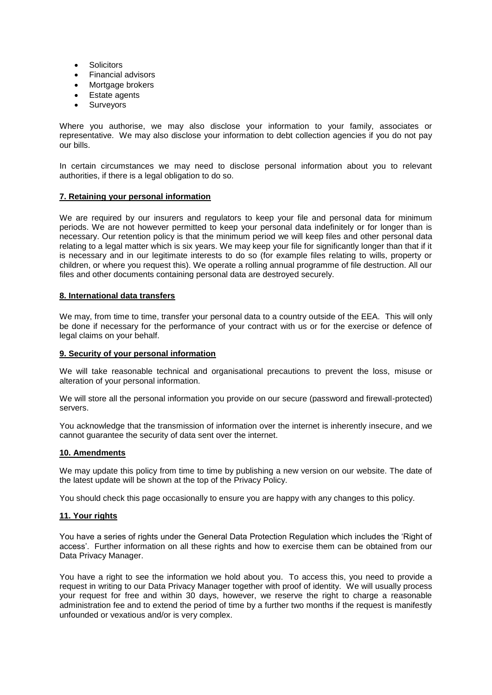- **Solicitors**
- Financial advisors
- Mortgage brokers
- Estate agents
- **Surveyors**

Where you authorise, we may also disclose your information to your family, associates or representative. We may also disclose your information to debt collection agencies if you do not pay our bills.

In certain circumstances we may need to disclose personal information about you to relevant authorities, if there is a legal obligation to do so.

#### **7. Retaining your personal information**

We are required by our insurers and requiators to keep your file and personal data for minimum periods. We are not however permitted to keep your personal data indefinitely or for longer than is necessary. Our retention policy is that the minimum period we will keep files and other personal data relating to a legal matter which is six years. We may keep your file for significantly longer than that if it is necessary and in our legitimate interests to do so (for example files relating to wills, property or children, or where you request this). We operate a rolling annual programme of file destruction. All our files and other documents containing personal data are destroyed securely.

#### **8. International data transfers**

We may, from time to time, transfer your personal data to a country outside of the EEA. This will only be done if necessary for the performance of your contract with us or for the exercise or defence of legal claims on your behalf.

#### **9. Security of your personal information**

We will take reasonable technical and organisational precautions to prevent the loss, misuse or alteration of your personal information.

We will store all the personal information you provide on our secure (password and firewall-protected) servers.

You acknowledge that the transmission of information over the internet is inherently insecure, and we cannot guarantee the security of data sent over the internet.

#### **10. Amendments**

We may update this policy from time to time by publishing a new version on our website. The date of the latest update will be shown at the top of the Privacy Policy.

You should check this page occasionally to ensure you are happy with any changes to this policy.

#### **11. Your rights**

You have a series of rights under the General Data Protection Regulation which includes the 'Right of access'. Further information on all these rights and how to exercise them can be obtained from our Data Privacy Manager.

You have a right to see the information we hold about you. To access this, you need to provide a request in writing to our Data Privacy Manager together with proof of identity. We will usually process your request for free and within 30 days, however, we reserve the right to charge a reasonable administration fee and to extend the period of time by a further two months if the request is manifestly unfounded or vexatious and/or is very complex.